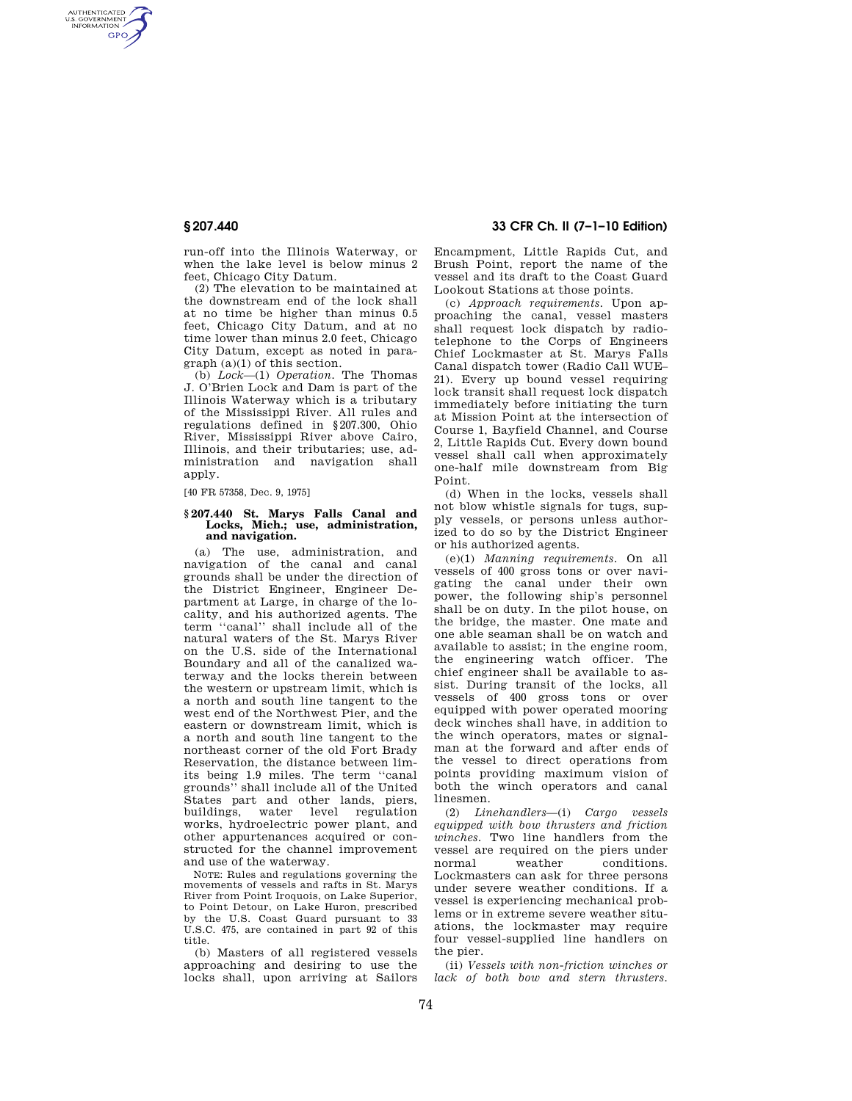AUTHENTICATED<br>U.S. GOVERNMENT<br>INFORMATION **GPO** 

> run-off into the Illinois Waterway, or when the lake level is below minus 2 feet, Chicago City Datum.

> (2) The elevation to be maintained at the downstream end of the lock shall at no time be higher than minus 0.5 feet, Chicago City Datum, and at no time lower than minus 2.0 feet, Chicago City Datum, except as noted in paragraph (a)(1) of this section.

> (b) *Lock*—(1) *Operation.* The Thomas J. O'Brien Lock and Dam is part of the Illinois Waterway which is a tributary of the Mississippi River. All rules and regulations defined in §207.300, Ohio River, Mississippi River above Cairo, Illinois, and their tributaries; use, administration and navigation shall apply.

[40 FR 57358, Dec. 9, 1975]

#### **§ 207.440 St. Marys Falls Canal and**  Locks, Mich.; use, administration, **and navigation.**

(a) The use, administration, and navigation of the canal and canal grounds shall be under the direction of the District Engineer, Engineer Department at Large, in charge of the locality, and his authorized agents. The term ''canal'' shall include all of the natural waters of the St. Marys River on the U.S. side of the International Boundary and all of the canalized waterway and the locks therein between the western or upstream limit, which is a north and south line tangent to the west end of the Northwest Pier, and the eastern or downstream limit, which is a north and south line tangent to the northeast corner of the old Fort Brady Reservation, the distance between limits being 1.9 miles. The term ''canal grounds'' shall include all of the United States part and other lands, piers, buildings, water level regulation works, hydroelectric power plant, and other appurtenances acquired or constructed for the channel improvement and use of the waterway.

NOTE: Rules and regulations governing the movements of vessels and rafts in St. Marys River from Point Iroquois, on Lake Superior, to Point Detour, on Lake Huron, prescribed by the U.S. Coast Guard pursuant to 33 U.S.C. 475, are contained in part 92 of this title.

(b) Masters of all registered vessels approaching and desiring to use the locks shall, upon arriving at Sailors

# **§ 207.440 33 CFR Ch. II (7–1–10 Edition)**

Encampment, Little Rapids Cut, and Brush Point, report the name of the vessel and its draft to the Coast Guard Lookout Stations at those points.

(c) *Approach requirements.* Upon approaching the canal, vessel masters shall request lock dispatch by radiotelephone to the Corps of Engineers Chief Lockmaster at St. Marys Falls Canal dispatch tower (Radio Call WUE– 21). Every up bound vessel requiring lock transit shall request lock dispatch immediately before initiating the turn at Mission Point at the intersection of Course 1, Bayfield Channel, and Course 2, Little Rapids Cut. Every down bound vessel shall call when approximately one-half mile downstream from Big Point.

(d) When in the locks, vessels shall not blow whistle signals for tugs, supply vessels, or persons unless authorized to do so by the District Engineer or his authorized agents.

(e)(1) *Manning requirements.* On all vessels of 400 gross tons or over navigating the canal under their own power, the following ship's personnel shall be on duty. In the pilot house, on the bridge, the master. One mate and one able seaman shall be on watch and available to assist; in the engine room, the engineering watch officer. The chief engineer shall be available to assist. During transit of the locks, all vessels of 400 gross tons or over equipped with power operated mooring deck winches shall have, in addition to the winch operators, mates or signalman at the forward and after ends of the vessel to direct operations from points providing maximum vision of both the winch operators and canal linesmen.

(2) *Linehandlers*—(i) *Cargo vessels equipped with bow thrusters and friction winches.* Two line handlers from the vessel are required on the piers under<br>normal weather conditions. conditions. Lockmasters can ask for three persons under severe weather conditions. If a vessel is experiencing mechanical problems or in extreme severe weather situations, the lockmaster may require four vessel-supplied line handlers on the pier.

(ii) *Vessels with non-friction winches or lack of both bow and stern thrusters.*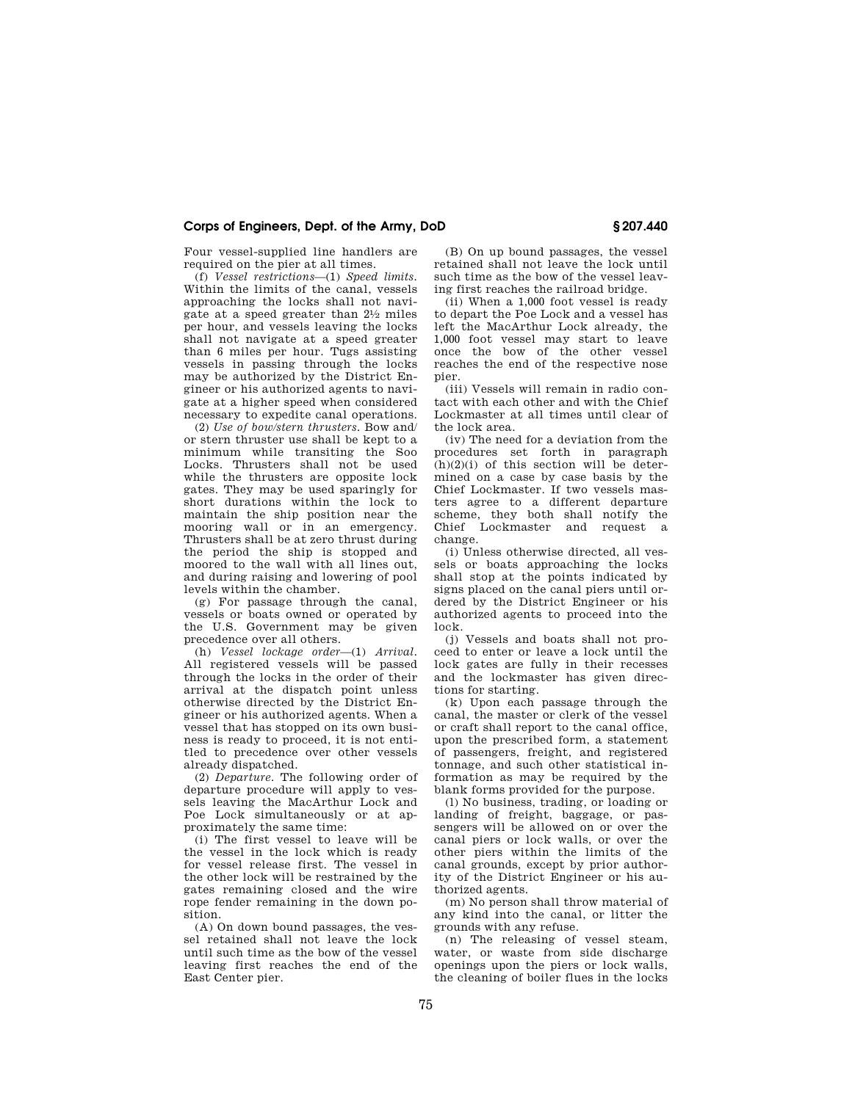# **Corps of Engineers, Dept. of the Army, DoD § 207.440**

Four vessel-supplied line handlers are required on the pier at all times.

(f) *Vessel restrictions*—(1) *Speed limits.*  Within the limits of the canal, vessels approaching the locks shall not navigate at a speed greater than 21⁄2 miles per hour, and vessels leaving the locks shall not navigate at a speed greater than 6 miles per hour. Tugs assisting vessels in passing through the locks may be authorized by the District Engineer or his authorized agents to navigate at a higher speed when considered necessary to expedite canal operations.

(2) *Use of bow/stern thrusters.* Bow and/ or stern thruster use shall be kept to a minimum while transiting the Soo Locks. Thrusters shall not be used while the thrusters are opposite lock gates. They may be used sparingly for short durations within the lock to maintain the ship position near the mooring wall or in an emergency. Thrusters shall be at zero thrust during the period the ship is stopped and moored to the wall with all lines out, and during raising and lowering of pool levels within the chamber.

(g) For passage through the canal, vessels or boats owned or operated by the U.S. Government may be given precedence over all others.

(h) *Vessel lockage order*—(1) *Arrival.*  All registered vessels will be passed through the locks in the order of their arrival at the dispatch point unless otherwise directed by the District Engineer or his authorized agents. When a vessel that has stopped on its own business is ready to proceed, it is not entitled to precedence over other vessels already dispatched.

(2) *Departure.* The following order of departure procedure will apply to vessels leaving the MacArthur Lock and Poe Lock simultaneously or at approximately the same time:

(i) The first vessel to leave will be the vessel in the lock which is ready for vessel release first. The vessel in the other lock will be restrained by the gates remaining closed and the wire rope fender remaining in the down position.

(A) On down bound passages, the vessel retained shall not leave the lock until such time as the bow of the vessel leaving first reaches the end of the East Center pier.

(B) On up bound passages, the vessel retained shall not leave the lock until such time as the bow of the vessel leaving first reaches the railroad bridge.

(ii) When a 1,000 foot vessel is ready to depart the Poe Lock and a vessel has left the MacArthur Lock already, the 1,000 foot vessel may start to leave once the bow of the other vessel reaches the end of the respective nose pier.

(iii) Vessels will remain in radio contact with each other and with the Chief Lockmaster at all times until clear of the lock area.

(iv) The need for a deviation from the procedures set forth in paragraph  $(h)(2)(i)$  of this section will be determined on a case by case basis by the Chief Lockmaster. If two vessels masters agree to a different departure scheme, they both shall notify the Chief Lockmaster and request a change.

(i) Unless otherwise directed, all vessels or boats approaching the locks shall stop at the points indicated by signs placed on the canal piers until ordered by the District Engineer or his authorized agents to proceed into the lock.

(j) Vessels and boats shall not proceed to enter or leave a lock until the lock gates are fully in their recesses and the lockmaster has given directions for starting.

 $(k)$  Upon each passage through the canal, the master or clerk of the vessel or craft shall report to the canal office, upon the prescribed form, a statement of passengers, freight, and registered tonnage, and such other statistical information as may be required by the blank forms provided for the purpose.

(l) No business, trading, or loading or landing of freight, baggage, or passengers will be allowed on or over the canal piers or lock walls, or over the other piers within the limits of the canal grounds, except by prior authority of the District Engineer or his authorized agents.

(m) No person shall throw material of any kind into the canal, or litter the grounds with any refuse.

(n) The releasing of vessel steam, water, or waste from side discharge openings upon the piers or lock walls, the cleaning of boiler flues in the locks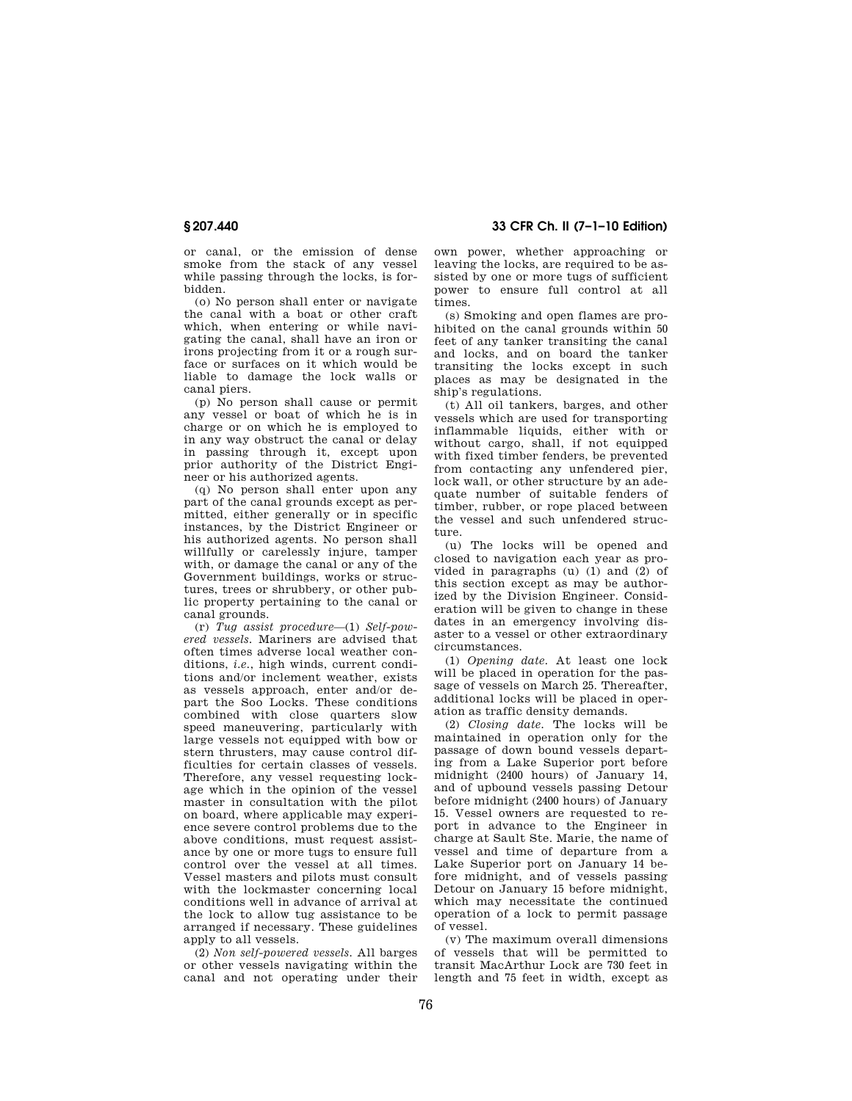or canal, or the emission of dense smoke from the stack of any vessel while passing through the locks, is forbidden.

(o) No person shall enter or navigate the canal with a boat or other craft which, when entering or while navigating the canal, shall have an iron or irons projecting from it or a rough surface or surfaces on it which would be liable to damage the lock walls or canal piers.

(p) No person shall cause or permit any vessel or boat of which he is in charge or on which he is employed to in any way obstruct the canal or delay in passing through it, except upon prior authority of the District Engineer or his authorized agents.

(q) No person shall enter upon any part of the canal grounds except as permitted, either generally or in specific instances, by the District Engineer or his authorized agents. No person shall willfully or carelessly injure, tamper with, or damage the canal or any of the Government buildings, works or structures, trees or shrubbery, or other public property pertaining to the canal or canal grounds.

(r) *Tug assist procedure*—(1) *Self-powered vessels.* Mariners are advised that often times adverse local weather conditions, *i.e.*, high winds, current conditions and/or inclement weather, exists as vessels approach, enter and/or depart the Soo Locks. These conditions combined with close quarters slow speed maneuvering, particularly with large vessels not equipped with bow or stern thrusters, may cause control difficulties for certain classes of vessels. Therefore, any vessel requesting lockage which in the opinion of the vessel master in consultation with the pilot on board, where applicable may experience severe control problems due to the above conditions, must request assistance by one or more tugs to ensure full control over the vessel at all times. Vessel masters and pilots must consult with the lockmaster concerning local conditions well in advance of arrival at the lock to allow tug assistance to be arranged if necessary. These guidelines apply to all vessels.

(2) *Non self-powered vessels.* All barges or other vessels navigating within the canal and not operating under their

**§ 207.440 33 CFR Ch. II (7–1–10 Edition)** 

own power, whether approaching or leaving the locks, are required to be assisted by one or more tugs of sufficient power to ensure full control at all times.

(s) Smoking and open flames are prohibited on the canal grounds within 50 feet of any tanker transiting the canal and locks, and on board the tanker transiting the locks except in such places as may be designated in the ship's regulations.

(t) All oil tankers, barges, and other vessels which are used for transporting inflammable liquids, either with or without cargo, shall, if not equipped with fixed timber fenders, be prevented from contacting any unfendered pier, lock wall, or other structure by an adequate number of suitable fenders of timber, rubber, or rope placed between the vessel and such unfendered structure.

(u) The locks will be opened and closed to navigation each year as provided in paragraphs (u) (1) and (2) of this section except as may be authorized by the Division Engineer. Consideration will be given to change in these dates in an emergency involving disaster to a vessel or other extraordinary circumstances.

(1) *Opening date.* At least one lock will be placed in operation for the passage of vessels on March 25. Thereafter, additional locks will be placed in operation as traffic density demands.

(2) *Closing date.* The locks will be maintained in operation only for the passage of down bound vessels departing from a Lake Superior port before midnight (2400 hours) of January 14, and of upbound vessels passing Detour before midnight (2400 hours) of January 15. Vessel owners are requested to report in advance to the Engineer in charge at Sault Ste. Marie, the name of vessel and time of departure from a Lake Superior port on January 14 before midnight, and of vessels passing Detour on January 15 before midnight, which may necessitate the continued operation of a lock to permit passage of vessel.

(v) The maximum overall dimensions of vessels that will be permitted to transit MacArthur Lock are 730 feet in length and 75 feet in width, except as